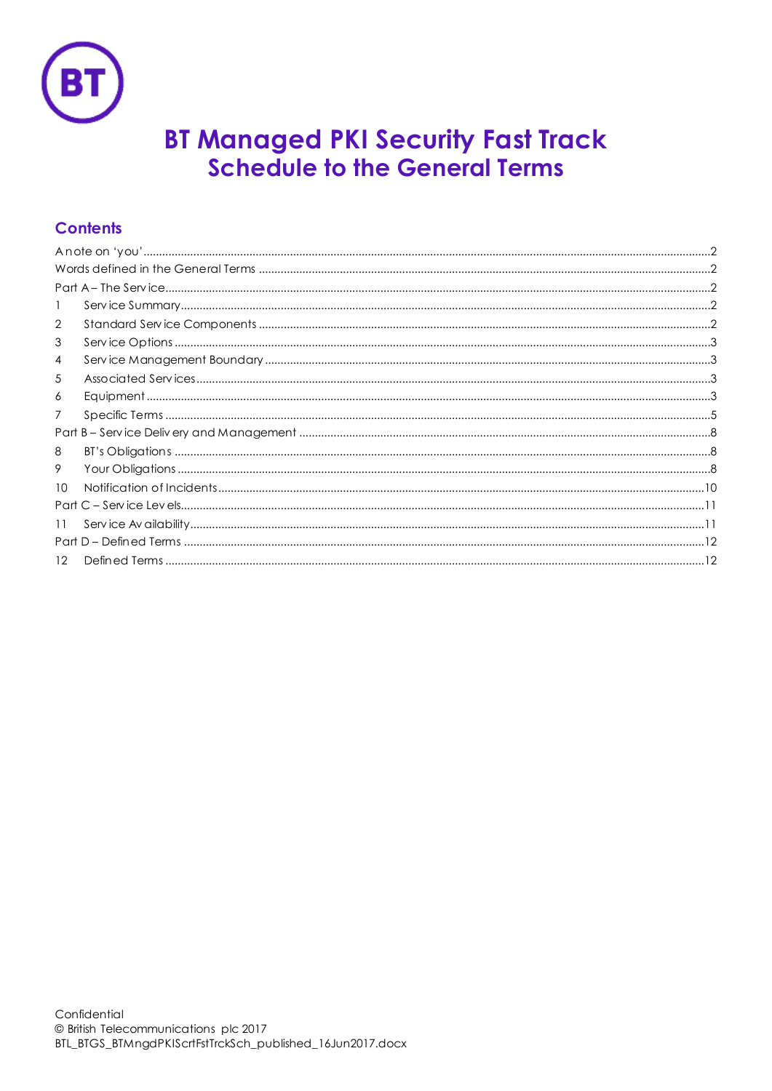

# **BT Managed PKI Security Fast Track<br>Schedule to the General Terms**

# **Contents**

| 1               |  |  |
|-----------------|--|--|
| 2               |  |  |
| 3               |  |  |
| 4               |  |  |
| 5               |  |  |
| 6               |  |  |
| 7               |  |  |
|                 |  |  |
| 8               |  |  |
| 9               |  |  |
| 10 <sup>°</sup> |  |  |
|                 |  |  |
| 11              |  |  |
|                 |  |  |
| 12 <sup>°</sup> |  |  |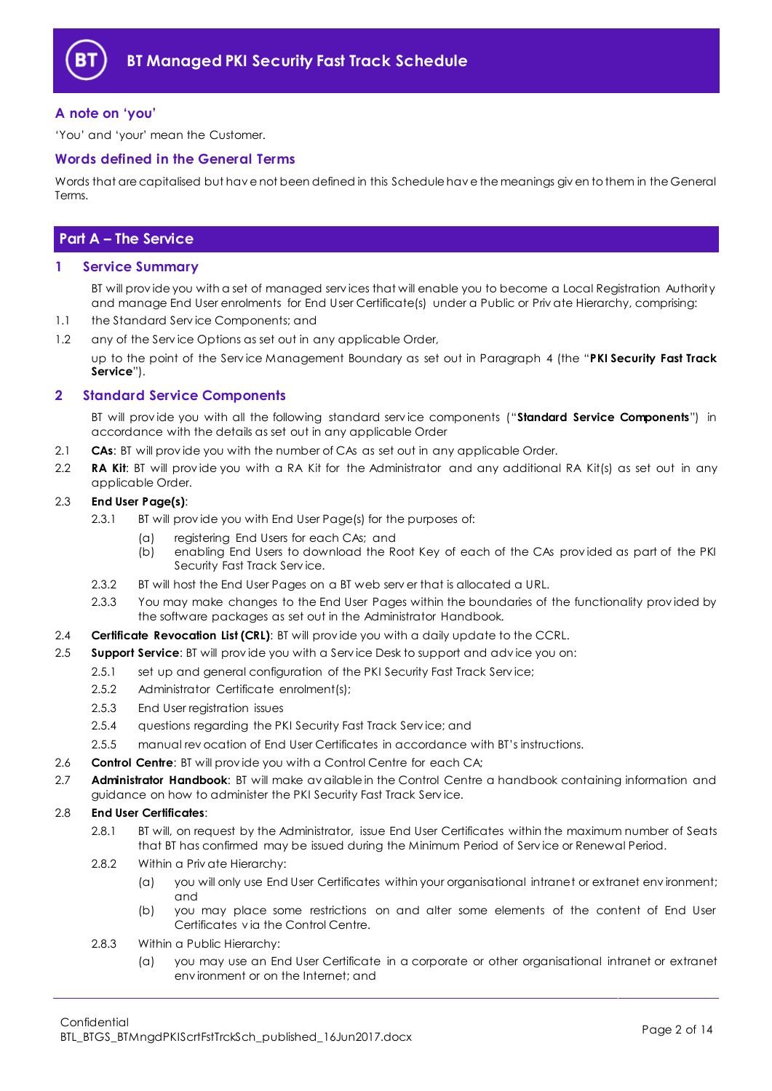

# <span id="page-1-0"></span>**A note on 'you'**

'You' and 'your' mean the Customer.

#### <span id="page-1-1"></span>**Words defined in the General Terms**

Words that are capitalised but hav e not been defined in this Schedule hav e the meanings giv en to them in the General Terms.

# <span id="page-1-2"></span>**Part A – The Service**

#### <span id="page-1-3"></span>**1 Service Summary**

BT will prov ide you with a set of managed serv ices that will enable you to become a Local Registration Authority and manage End User enrolments for End User Certificate(s) under a Public or Priv ate Hierarchy, comprising:

- 1.1 the Standard Serv ice Components; and
- 1.2 any of the Serv ice Options as set out in any applicable Order,

up to the point of the Serv ice Management Boundary as set out in Paragraph [4](#page-2-1) (the "**PKI Security Fast Track Service**").

## <span id="page-1-4"></span>**2 Standard Service Components**

BT will prov ide you with all the following standard serv ice components ("**Standard Service Components**") in accordance with the details as set out in any applicable Order

- 2.1 **CAs**: BT will prov ide you with the number of CAs as set out in any applicable Order.
- 2.2 **RA Kit**: BT will prov ide you with a RA Kit for the Administrator and any additional RA Kit(s) as set out in any applicable Order.

#### 2.3 **End User Page(s)**:

- 2.3.1 BI will provide you with End User Page(s) for the purposes of:
	- (a) registering End Users for each CAs; and
	- (b) enabling End Users to download the Root Key of each of the CAs prov ided as part of the PKI Security Fast Track Serv ice.
- 2.3.2 BT will host the End User Pages on a BT web serv er that is allocated a URL.
- 2.3.3 You may make changes to the End User Pages within the boundaries of the functionality prov ided by the software packages as set out in the Administrator Handbook.
- 2.4 **Certificate Revocation List (CRL)**: BT will prov ide you with a daily update to the CCRL.
- 2.5 **Support Service**: BT will prov ide you with a Serv ice Desk to support and adv ice you on:
	- 2.5.1 set up and general configuration of the PKI Security Fast Track Service;
		- 2.5.2 Administrator Certificate enrolment(s);
		- 2.5.3 End User registration issues
		- 2.5.4 questions regarding the PKI Security Fast Track Serv ice; and
	- 2.5.5 manual rev ocation of End User Certificates in accordance with BT's instructions.
- 2.6 **Control Centre**: BT will prov ide you with a Control Centre for each CA;
- <span id="page-1-5"></span>2.7 **Administrator Handbook**: BT will make av ailable in the Control Centre a handbook containing information and guidance on how to administer the PKI Security Fast Track Serv ice.

#### 2.8 **End User Certificates**:

- 2.8.1 BT will, on request by the Administrator, issue End User Certificates within the maximum number of Seats that BT has confirmed may be issued during the Minimum Period of Serv ice or Renewal Period.
- 2.8.2 Within a Priv ate Hierarchy:
	- (a) you will only use End User Certificates within your organisational intranet or extranet env ironment; and
	- (b) you may place some restrictions on and alter some elements of the content of End User Certificates v ia the Control Centre.
- 2.8.3 Within a Public Hierarchy:
	- (a) you may use an End User Certificate in a corporate or other organisational intranet or extranet env ironment or on the Internet; and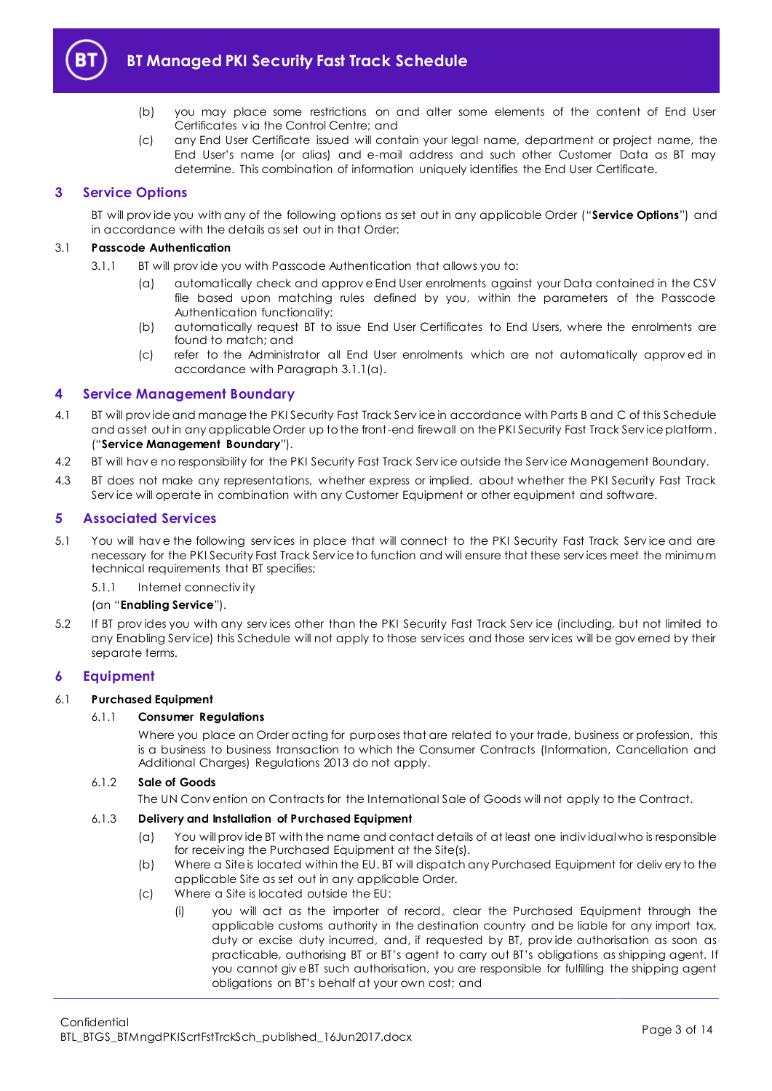

- (b) you may place some restrictions on and alter some elements of the content of End User Certificates v ia the Control Centre; and
- (c) any End User Certificate issued will contain your legal name, department or project name, the End User's name (or alias) and e-mail address and such other Customer Data as BT may determine. This combination of information uniquely identifies the End User Certificate.

# <span id="page-2-0"></span>**3 Service Options**

BT will prov ide you with any of the following options as set out in any applicable Order ("**Service Options**") and in accordance with the details as set out in that Order:

#### <span id="page-2-4"></span>3.1 **Passcode Authentication**

- 3.1.1 BT will prov ide you with Passcode Authentication that allows you to:
	- (a) automatically check and approv e End User enrolments against your Data contained in the CSV file based upon matching rules defined by you, within the parameters of the Passcode Authentication functionality;
	- (b) automatically request BT to issue End User Certificates to End Users, where the enrolments are found to match; and
	- (c) refer to the Administrator all End User enrolments which are not automatically approv ed in accordance with Paragrap[h 3.1.1\(a\).](#page-2-4)

## <span id="page-2-1"></span>**4 Service Management Boundary**

- <span id="page-2-7"></span>4.1 BT will prov ide and manage the PKI Security Fast Track Serv ice in accordance with Parts B and C of this Schedule and as set out in any applicable Order up to the front-end firewall on the PKI Security Fast Track Serv ice platform. ("**Service Management Boundary**").
- 4.2 BT will hav e no responsibility for the PKI Security Fast Track Serv ice outside the Serv ice Management Boundary.
- 4.3 BT does not make any representations, whether express or implied, about whether the PKI Security Fast Track Serv ice will operate in combination with any Customer Equipment or other equipment and software.

#### <span id="page-2-2"></span>**5 Associated Services**

<span id="page-2-6"></span>5.1 You will hav e the following serv ices in place that will connect to the PKI Security Fast Track Serv ice and are necessary for the PKI Security Fast Track Serv ice to function and will ensure that these serv ices meet the minimum technical requirements that BT specifies;

5.1.1 Internet connectiv ity

#### (an "**Enabling Service**").

5.2 If BT prov ides you with any serv ices other than the PKI Security Fast Track Serv ice (including, but not limited to any Enabling Serv ice) this Schedule will not apply to those serv ices and those serv ices will be gov erned by their separate terms.

#### <span id="page-2-3"></span>**6 Equipment**

#### 6.1 **Purchased Equipment**

#### 6.1.1 **Consumer Regulations**

Where you place an Order acting for purposes that are related to your trade, business or profession, this is a business to business transaction to which the Consumer Contracts (Information, Cancellation and Additional Charges) Regulations 2013 do not apply.

#### 6.1.2 **Sale of Goods**

The UN Conv ention on Contracts for the International Sale of Goods will not apply to the Contract.

#### 6.1.3 **Delivery and Installation of Purchased Equipment**

- (a) You will prov ide BT with the name and contact details of at least one indiv idual who is responsible for receiv ing the Purchased Equipment at the Site(s).
- (b) Where a Site is located within the EU, BT will dispatch any Purchased Equipment for deliv ery to the applicable Site as set out in any applicable Order.
- <span id="page-2-5"></span>(c) Where a Site is located outside the EU:
	- (i) you will act as the importer of record, clear the Purchased Equipment through the applicable customs authority in the destination country and be liable for any import tax, duty or excise duty incurred, and, if requested by BT, prov ide authorisation as soon as practicable, authorising BT or BT's agent to carry out BT's obligations as shipping agent. If you cannot giv e BT such authorisation, you are responsible for fulfilling the shipping agent obligations on BT's behalf at your own cost; and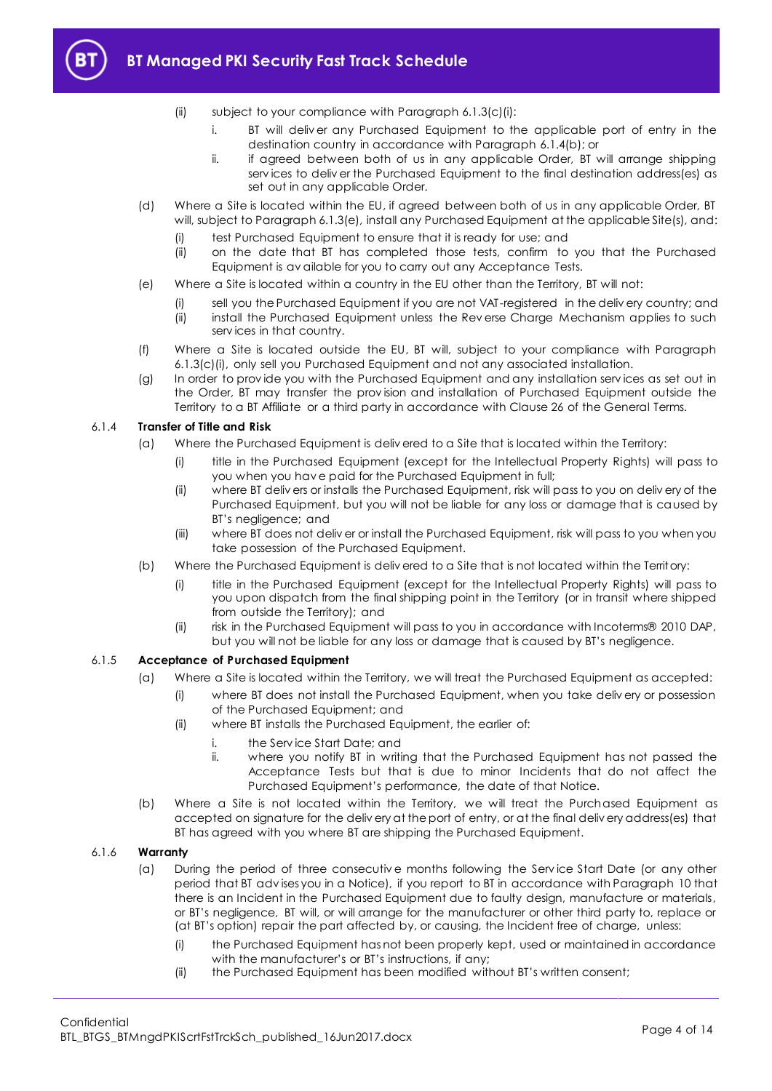

- (ii) subject to your compliance with Paragrap[h 6.1.3\(c\)\(i\):](#page-2-5)
	- i. BT will deliv er any Purchased Equipment to the applicable port of entry in the destination country in accordance with Paragrap[h 6.1.4\(b\);](#page-3-0) or
	- ii. if agreed between both of us in any applicable Order, BT will arrange shipping serv ices to deliv er the Purchased Equipment to the final destination address(es) as set out in any applicable Order.
- (d) Where a Site is located within the EU, if agreed between both of us in any applicable Order, BT will, subject to Paragraph [6.1.3\(e\),](#page-3-1) install any Purchased Equipment at the applicable Site(s), and:
	- (i) test Purchased Equipment to ensure that it is ready for use; and
	- (ii) on the date that BT has completed those tests, confirm to you that the Purchased Equipment is av ailable for you to carry out any Acceptance Tests.
- <span id="page-3-1"></span>(e) Where a Site is located within a country in the EU other than the Territory, BT will not:
	- (i) sell you the Purchased Equipment if you are not VAT-registered in the deliv ery country; and
	- (ii) install the Purchased Equipment unless the Rev erse Charge Mechanism applies to such serv ices in that country.
- (f) Where a Site is located outside the EU, BT will, subject to your compliance with Paragraph [6.1.3\(c\)\(i\),](#page-2-5) only sell you Purchased Equipment and not any associated installation.
- (g) In order to prov ide you with the Purchased Equipment and any installation serv ices as set out in the Order, BT may transfer the prov ision and installation of Purchased Equipment outside the Territory to a BT Affiliate or a third party in accordance with Clause 26 of the General Terms.

#### 6.1.4 **Transfer of Title and Risk**

- (a) Where the Purchased Equipment is deliv ered to a Site that is located within the Territory:
	- (i) title in the Purchased Equipment (except for the Intellectual Property Rights) will pass to you when you hav e paid for the Purchased Equipment in full;
	- (ii) where BT deliv ers or installs the Purchased Equipment, risk will pass to you on deliv ery of the Purchased Equipment, but you will not be liable for any loss or damage that is caused by BT's negligence; and
	- (iii) where BT does not deliv er or install the Purchased Equipment, risk will pass to you when you take possession of the Purchased Equipment.
- <span id="page-3-0"></span>(b) Where the Purchased Equipment is deliv ered to a Site that is not located within the Territory:
	- (i) title in the Purchased Equipment (except for the Intellectual Property Rights) will pass to you upon dispatch from the final shipping point in the Territory (or in transit where shipped from outside the Territory); and
	- (ii) risk in the Purchased Equipment will pass to you in accordance with Incoterms® 2010 DAP, but you will not be liable for any loss or damage that is caused by BT's negligence.

#### 6.1.5 **Acceptance of Purchased Equipment**

- (a) Where a Site is located within the Territory, we will treat the Purchased Equipment as accepted:
	- (i) where BT does not install the Purchased Equipment, when you take deliv ery or possession of the Purchased Equipment; and
	- (ii) where BT installs the Purchased Equipment, the earlier of:
		- i. the Service Start Date; and<br>ii. where you notify BT in writing
			- where you notify BT in writing that the Purchased Equipment has not passed the Acceptance Tests but that is due to minor Incidents that do not affect the Purchased Equipment's performance, the date of that Notice.
- (b) Where a Site is not located within the Territory, we will treat the Purchased Equipment as accepted on signature for the deliv ery at the port of entry, or at the final deliv ery address(es) that BT has agreed with you where BT are shipping the Purchased Equipment.

#### <span id="page-3-2"></span>6.1.6 **Warranty**

- (a) During the period of three consecutiv e months following the Serv ice Start Date (or any other period that BT adv ises you in a Notice), if you report to BT in accordance with Paragraph [10](#page-9-0) that there is an Incident in the Purchased Equipment due to faulty design, manufacture or materials, or BT's negligence, BT will, or will arrange for the manufacturer or other third party to, replace or (at BT's option) repair the part affected by, or causing, the Incident free of charge, unless:
	- (i) the Purchased Equipment has not been properly kept, used or maintained in accordance with the manufacturer's or BT's instructions, if any;
	- (ii) the Purchased Equipment has been modified without BT's written consent;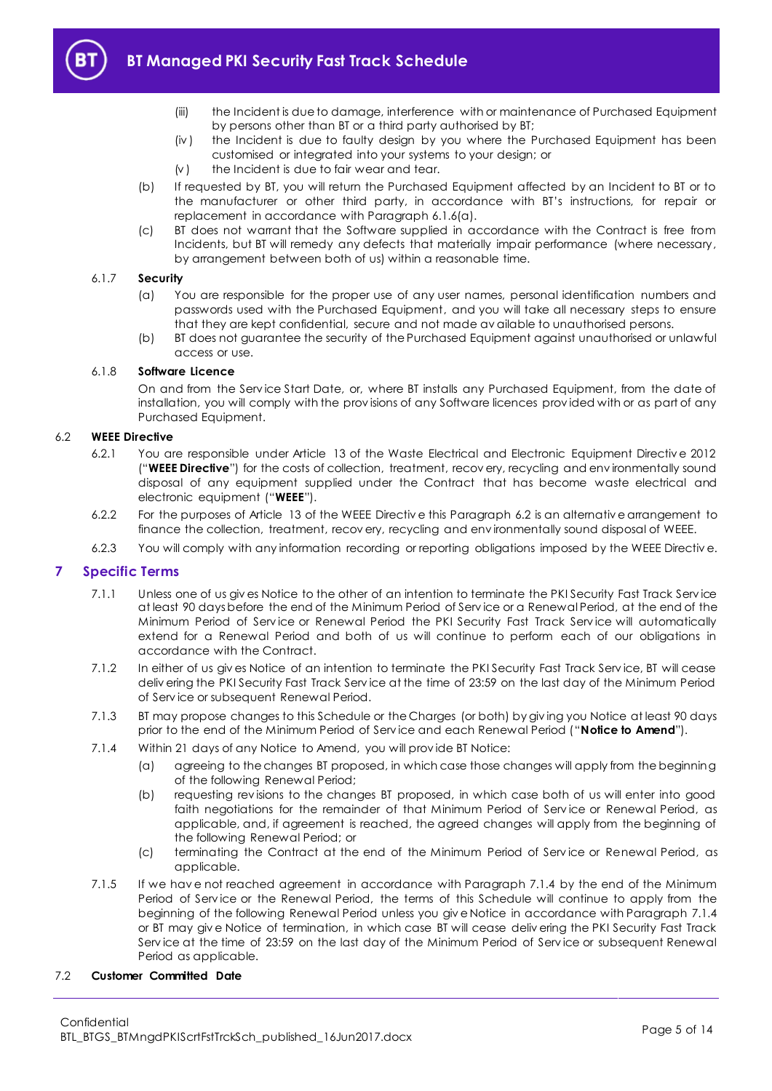

- (iii) the Incident is due to damage, interference with or maintenance of Purchased Equipment by persons other than BT or a third party authorised by BT;
- (iv ) the Incident is due to faulty design by you where the Purchased Equipment has been customised or integrated into your systems to your design; or
- $(v)$  the Incident is due to fair wear and tear.
- (b) If requested by BT, you will return the Purchased Equipment affected by an Incident to BT or to the manufacturer or other third party, in accordance with BT's instructions, for repair or replacement in accordance with Paragrap[h 6.1.6\(a\).](#page-3-2)
- (c) BT does not warrant that the Software supplied in accordance with the Contract is free from Incidents, but BT will remedy any defects that materially impair performance (where necessary, by arrangement between both of us) within a reasonable time.

#### 6.1.7 **Security**

- (a) You are responsible for the proper use of any user names, personal identification numbers and passwords used with the Purchased Equipment, and you will take all necessary steps to ensure that they are kept confidential, secure and not made av ailable to unauthorised persons.
- (b) BT does not guarantee the security of the Purchased Equipment against unauthorised or unlawful access or use.

#### 6.1.8 **Software Licence**

On and from the Serv ice Start Date, or, where BT installs any Purchased Equipment, from the date of installation, you will comply with the prov isions of any Software licences prov ided with or as part of any Purchased Equipment.

#### <span id="page-4-3"></span><span id="page-4-1"></span>6.2 **WEEE Directive**

- 6.2.1 You are responsible under Article 13 of the Waste Electrical and Electronic Equipment Directiv e 2012 ("**WEEE Directive**") for the costs of collection, treatment, recov ery, recycling and env ironmentally sound disposal of any equipment supplied under the Contract that has become waste electrical and electronic equipment ("**WEEE**").
- 6.2.2 For the purposes of Article 13 of the WEEE Directiv e this Paragrap[h 6.2](#page-4-1) is an alternativ e arrangement to finance the collection, treatment, recov ery, recycling and env ironmentally sound disposal of WEEE.
- 6.2.3 You will comply with any information recording or reporting obligations imposed by the WEEE Directiv e.

## <span id="page-4-0"></span>**7 Specific Terms**

- 7.1.1 Unless one of us giv es Notice to the other of an intention to terminate the PKI Security Fast Track Serv ice at least 90 days before the end of the Minimum Period of Serv ice or a Renewal Period, at the end of the Minimum Period of Serv ice or Renewal Period the PKI Security Fast Track Serv ice will automatically extend for a Renewal Period and both of us will continue to perform each of our obligations in accordance with the Contract.
- 7.1.2 In either of us giv es Notice of an intention to terminate the PKI Security Fast Track Serv ice, BT will cease deliv ering the PKI Security Fast Track Serv ice at the time of 23:59 on the last day of the Minimum Period of Serv ice or subsequent Renewal Period.
- 7.1.3 BT may propose changes to this Schedule or the Charges (or both) by giv ing you Notice at least 90 days prior to the end of the Minimum Period of Serv ice and each Renewal Period ("**Notice to Amend**").
- <span id="page-4-2"></span>7.1.4 Within 21 days of any Notice to Amend, you will prov ide BT Notice:
	- (a) agreeing to the changes BT proposed, in which case those changes will apply from the beginning of the following Renewal Period;
	- (b) requesting rev isions to the changes BT proposed, in which case both of us will enter into good faith negotiations for the remainder of that Minimum Period of Serv ice or Renewal Period, as applicable, and, if agreement is reached, the agreed changes will apply from the beginning of the following Renewal Period; or
	- (c) terminating the Contract at the end of the Minimum Period of Serv ice or Renewal Period, as applicable.
- 7.1.5 If we hav e not reached agreement in accordance with Paragraph [7.1.4](#page-4-2) by the end of the Minimum Period of Service or the Renewal Period, the terms of this Schedule will continue to apply from the beginning of the following Renewal Period unless you giv e Notice in accordance with Paragraph [7.1.4](#page-4-2) or BT may giv e Notice of termination, in which case BT will cease deliv ering the PKI Security Fast Track Serv ice at the time of 23:59 on the last day of the Minimum Period of Serv ice or subsequent Renewal Period as applicable.

#### 7.2 **Customer Committed Date**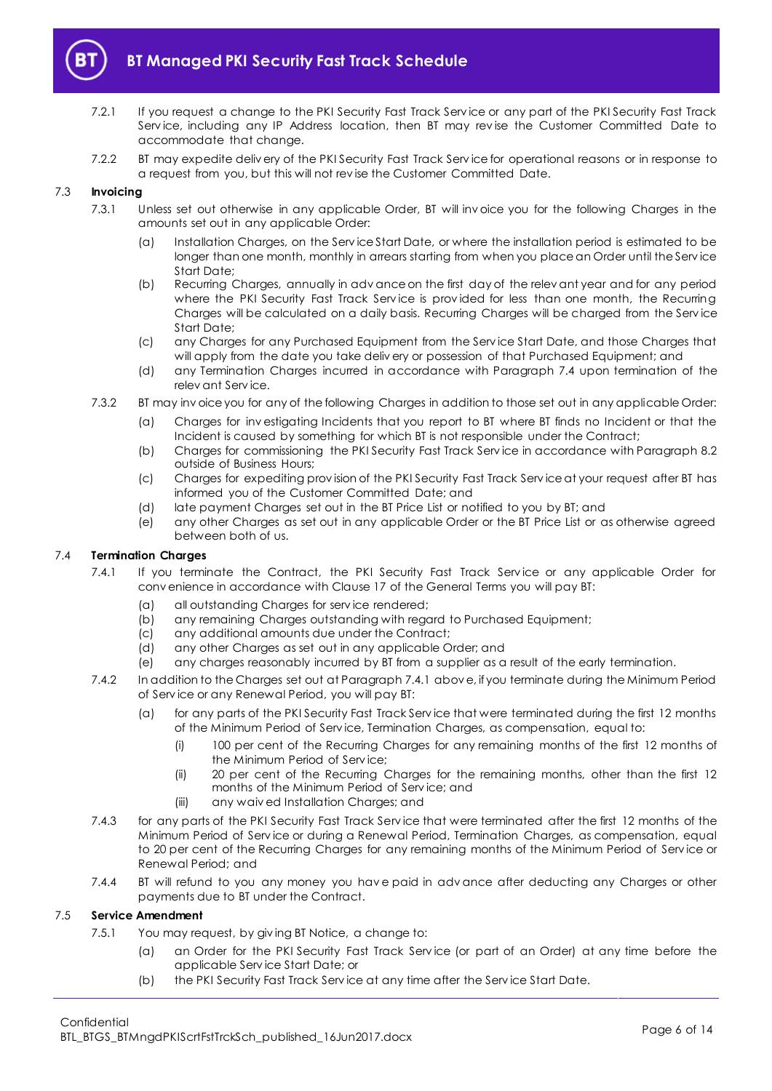

- 7.2.1 If you request a change to the PKI Security Fast Track Serv ice or any part of the PKI Security Fast Track Serv ice, including any IP Address location, then BT may rev ise the Customer Committed Date to accommodate that change.
- 7.2.2 BT may expedite deliv ery of the PKI Security Fast Track Serv ice for operational reasons or in response to a request from you, but this will not rev ise the Customer Committed Date.

#### 7.3 **Invoicing**

- 7.3.1 Unless set out otherwise in any applicable Order, BT will inv oice you for the following Charges in the amounts set out in any applicable Order:
	- (a) Installation Charges, on the Serv ice Start Date, or where the installation period is estimated to be longer than one month, monthly in arrears starting from when you place an Order until the Service Start Date;
	- (b) Recurring Charges, annually in adv ance on the first day of the relev ant year and for any period where the PKI Security Fast Track Service is provided for less than one month, the Recurring Charges will be calculated on a daily basis. Recurring Charges will be charged from the Serv ice Start Date;
	- (c) any Charges for any Purchased Equipment from the Serv ice Start Date, and those Charges that will apply from the date you take deliv ery or possession of that Purchased Equipment; and
	- (d) any Termination Charges incurred in accordance with Paragraph [7.4](#page-5-0) upon termination of the relev ant Serv ice.
- 7.3.2 BT may inv oice you for any of the following Charges in addition to those set out in any applicable Order:
	- (a) Charges for inv estigating Incidents that you report to BT where BT finds no Incident or that the Incident is caused by something for which BT is not responsible under the Contract;
	- (b) Charges for commissioning the PKI Security Fast Track Serv ice in accordance with Paragraph [8.2](#page-7-3) outside of Business Hours;
	- (c) Charges for expediting prov ision of the PKI Security Fast Track Serv ice at your request after BT has informed you of the Customer Committed Date; and
	- (d) late payment Charges set out in the BT Price List or notified to you by BT; and
	- (e) any other Charges as set out in any applicable Order or the BT Price List or as otherwise agreed between both of us.

#### <span id="page-5-1"></span><span id="page-5-0"></span>7.4 **Termination Charges**

- 7.4.1 If you terminate the Contract, the PKI Security Fast Track Service or any applicable Order for conv enience in accordance with Clause 17 of the General Terms you will pay BT:
	- (a) all outstanding Charges for serv ice rendered;
	- (b) any remaining Charges outstanding with regard to Purchased Equipment;
	- (c) any additional amounts due under the Contract;
	- (d) any other Charges as set out in any applicable Order; and
	- (e) any charges reasonably incurred by BT from a supplier as a result of the early termination.
- 7.4.2 In addition to the Charges set out at Paragrap[h 7.4.1](#page-5-1) abov e, if you terminate during the Minimum Period of Serv ice or any Renewal Period, you will pay BT:
	- (a) for any parts of the PKI Security Fast Track Serv ice that were terminated during the first 12 months of the Minimum Period of Serv ice, Termination Charges, as compensation, equal to:
		- (i) 100 per cent of the Recurring Charges for any remaining months of the first 12 months of the Minimum Period of Serv ice;
		- (ii) 20 per cent of the Recurring Charges for the remaining months, other than the first 12 months of the Minimum Period of Serv ice; and
		- (iii) any waiv ed Installation Charges; and
- 7.4.3 for any parts of the PKI Security Fast Track Serv ice that were terminated after the first 12 months of the Minimum Period of Serv ice or during a Renewal Period, Termination Charges, as compensation, equal to 20 per cent of the Recurring Charges for any remaining months of the Minimum Period of Service or Renewal Period; and
- 7.4.4 BI will refund to you any money you have paid in advance after deducting any Charges or other payments due to BT under the Contract.

#### <span id="page-5-2"></span>7.5 **Service Amendment**

- 7.5.1 You may request, by giv ing BT Notice, a change to:
	- (a) an Order for the PKI Security Fast Track Serv ice (or part of an Order) at any time before the applicable Serv ice Start Date; or
	- (b) the PKI Security Fast Track Serv ice at any time after the Serv ice Start Date.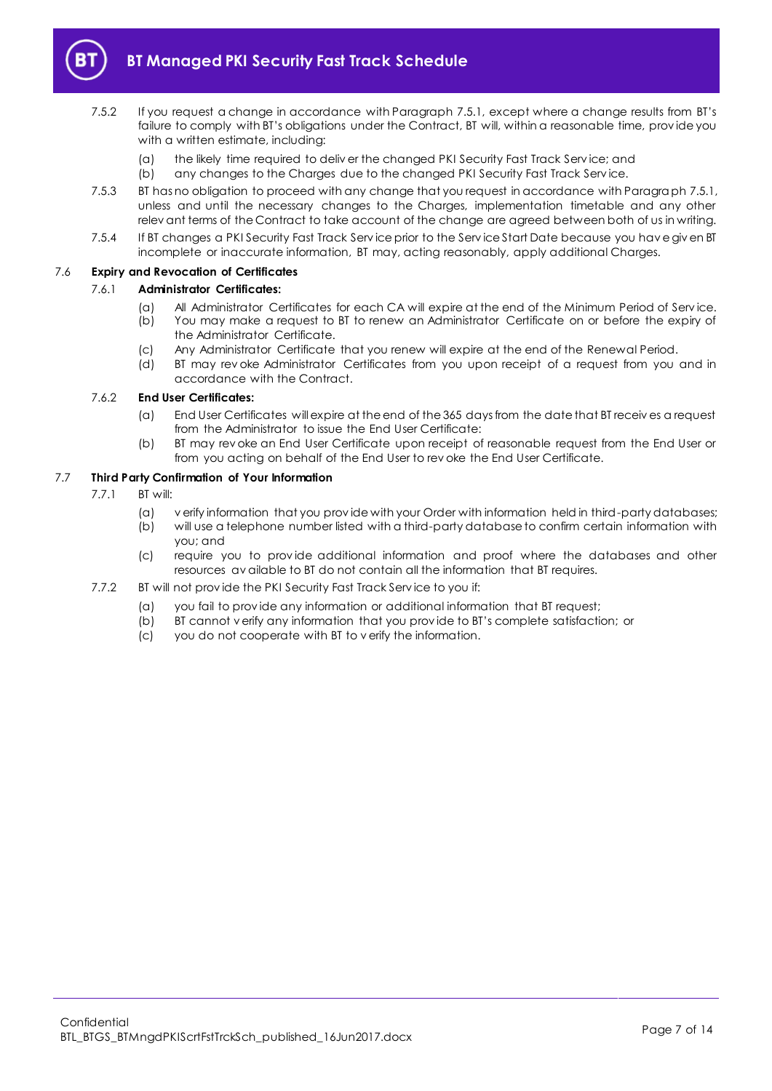

- 7.5.2 If you request a change in accordance with Paragrap[h 7.5.1](#page-5-2), except where a change results from BT's failure to comply with BT's obligations under the Contract, BT will, within a reasonable time, prov ide you with a written estimate, including:
	- (a) the likely time required to deliv er the changed PKI Security Fast Track Serv ice; and
	- (b) any changes to the Charges due to the changed PKI Security Fast Track Serv ice.
- 7.5.3 BT has no obligation to proceed with any change that you request in accordance with Paragrap[h 7.5.1,](#page-5-2) unless and until the necessary changes to the Charges, implementation timetable and any other relev ant terms of the Contract to take account of the change are agreed between both of us in writing.
- 7.5.4 If BT changes a PKI Security Fast Track Serv ice prior to the Serv ice Start Date because you hav e giv en BT incomplete or inaccurate information, BT may, acting reasonably, apply additional Charges.

#### 7.6 **Expiry and Revocation of Certificates**

#### 7.6.1 **Administrator Certificates:**

- (a) All Administrator Certificates for each CA will expire at the end of the Minimum Period of Serv ice. (b) You may make a request to BT to renew an Administrator Certificate on or before the expiry of
	- the Administrator Certificate.
- (c) Any Administrator Certificate that you renew will expire at the end of the Renewal Period.
- (d) BT may rev oke Administrator Certificates from you upon receipt of a request from you and in accordance with the Contract.

#### 7.6.2 **End User Certificates:**

- (a) End User Certificates will expire at the end of the 365 days from the date that BT receiv es a request from the Administrator to issue the End User Certificate:
- (b) BT may rev oke an End User Certificate upon receipt of reasonable request from the End User or from you acting on behalf of the End User to rev oke the End User Certificate.

# 7.7 **Third Party Confirmation of Your Information**

- 7.7.1 BT will:
	- (a) v erify information that you prov ide with your Order with information held in third-party databases; (b) will use a telephone number listed with a third-party database to confirm certain information with
	- you; and
	- (c) require you to prov ide additional information and proof where the databases and other resources av ailable to BT do not contain all the information that BT requires.
- 7.7.2 BT will not provide the PKI Security Fast Track Service to you if:
	- (a) you fail to prov ide any information or additional information that BT request;
	- (b) BT cannot v erify any information that you prov ide to BT's complete satisfaction; or
	- (c) you do not cooperate with BT to v erify the information.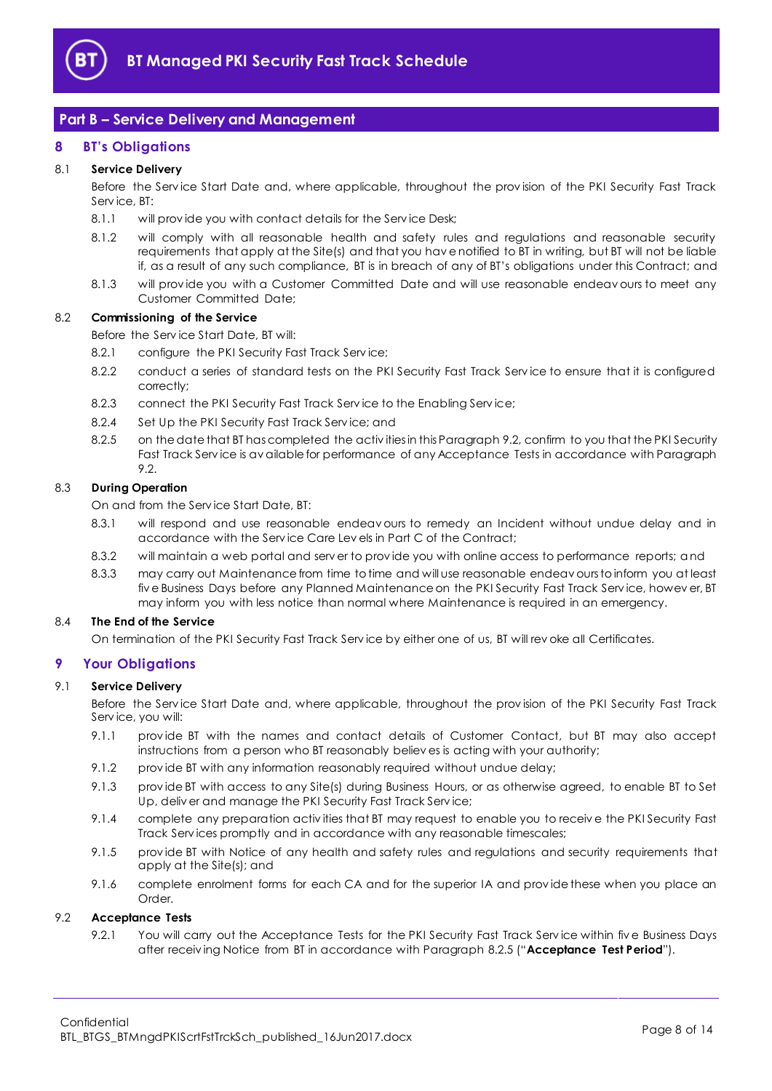

# <span id="page-7-0"></span>**Part B – Service Delivery and Management**

## <span id="page-7-1"></span>**8 BT's Obligations**

#### 8.1 **Service Delivery**

Before the Serv ice Start Date and, where applicable, throughout the prov ision of the PKI Security Fast Track Serv ice, BT:

- 8.1.1 will provide you with contact details for the Service Desk;
- 8.1.2 will comply with all reasonable health and safety rules and regulations and reasonable security requirements that apply at the Site(s) and that you hav e notified to BT in writing, but BT will not be liable if, as a result of any such compliance, BT is in breach of any of BT's obligations under this Contract; and
- 8.1.3 will prov ide you with a Customer Committed Date and will use reasonable endeav ours to meet any Customer Committed Date;

#### <span id="page-7-3"></span>8.2 **Commissioning of the Service**

Before the Serv ice Start Date, BT will:

- 8.2.1 configure the PKI Security Fast Track Service;
- 8.2.2 conduct a series of standard tests on the PKI Security Fast Track Serv ice to ensure that it is configured correctly;
- 8.2.3 connect the PKI Security Fast Track Service to the Enabling Service;
- 8.2.4 Set Up the PKI Security Fast Track Service; and
- <span id="page-7-5"></span>8.2.5 on the date that BT has completed the activ ities in this Paragrap[h 9.2,](#page-7-4) confirm to you that the PKI Security Fast Track Serv ice is av ailable for performance of any Acceptance Tests in accordance with Paragraph [9.2.](#page-7-4)

#### <span id="page-7-7"></span>8.3 **During Operation**

On and from the Serv ice Start Date, BT:

- 8.3.1 will respond and use reasonable endeav ours to remedy an Incident without undue delay and in accordance with the Serv ice Care Lev els in Part C of the Contract;
- 8.3.2 will maintain a web portal and serv er to prov ide you with online access to performance reports; and
- 8.3.3 may carry out Maintenance from time to time and will use reasonable endeav ours to inform you at least fiv e Business Days before any Planned Maintenance on the PKI Security Fast Track Serv ice, howev er, BT may inform you with less notice than normal where Maintenance is required in an emergency.

#### 8.4 **The End of the Service**

On termination of the PKI Security Fast Track Serv ice by either one of us, BT will rev oke all Certificates.

## <span id="page-7-2"></span>**9 Your Obligations**

#### 9.1 **Service Delivery**

Before the Serv ice Start Date and, where applicable, throughout the prov ision of the PKI Security Fast Track Serv ice, you will:

- 9.1.1 prov ide BT with the names and contact details of Customer Contact, but BT may also accept instructions from a person who BT reasonably believ es is acting with your authority;
- 9.1.2 prov ide BT with any information reasonably required without undue delay;
- 9.1.3 prov ide BT with access to any Site(s) during Business Hours, or as otherwise agreed, to enable BT to Set Up, deliv er and manage the PKI Security Fast Track Serv ice;
- 9.1.4 complete any preparation activ ities that BT may request to enable you to receiv e the PKI Security Fast Track Serv ices promptly and in accordance with any reasonable timescales;
- 9.1.5 prov ide BT with Notice of any health and safety rules and regulations and security requirements that apply at the Site(s); and
- 9.1.6 complete enrolment forms for each CA and for the superior IA and provide these when you place an Order.

#### <span id="page-7-6"></span><span id="page-7-4"></span>9.2 **Acceptance Tests**

9.2.1 You will carry out the Acceptance Tests for the PKI Security Fast Track Service within five Business Days after receiv ing Notice from BT in accordance with Paragrap[h 8.2.5](#page-7-5) ("**Acceptance Test Period**").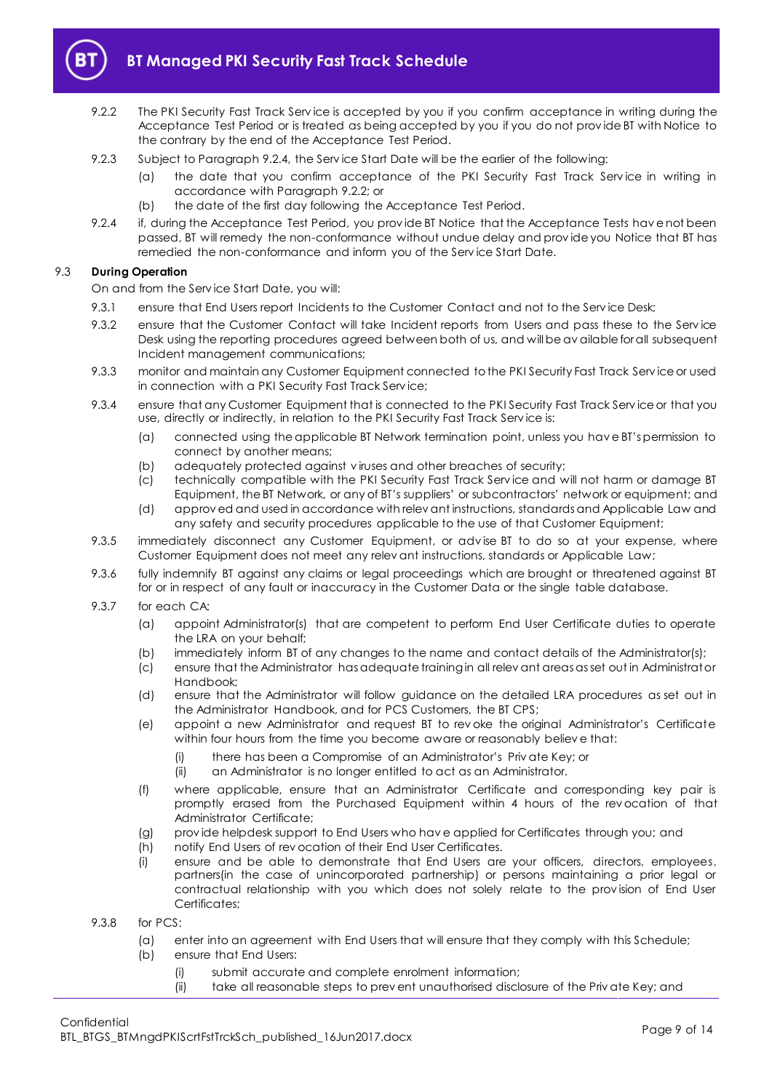

- <span id="page-8-1"></span>9.2.2 The PKI Security Fast Track Service is accepted by you if you confirm acceptance in writing during the Acceptance Test Period or is treated as being accepted by you if you do not prov ide BT with Notice to the contrary by the end of the Acceptance Test Period.
- 9.2.3 Subject to Paragraph [9.2.4,](#page-8-0) the Serv ice Start Date will be the earlier of the following:
	- (a) the date that you confirm acceptance of the PKI Security Fast Track Service in writing in accordance with Paragrap[h 9.2.2;](#page-8-1) or
	- (b) the date of the first day following the Acceptance Test Period.
- <span id="page-8-0"></span>9.2.4 if, during the Acceptance Test Period, you prov ide BT Notice that the Acceptance Tests hav e not been passed, BT will remedy the non-conformance without undue delay and prov ide you Notice that BT has remedied the non-conformance and inform you of the Serv ice Start Date.

## 9.3 **During Operation**

On and from the Serv ice Start Date, you will:

- 9.3.1 ensure that End Users report Incidents to the Customer Contact and not to the Service Desk;
- 9.3.2 ensure that the Customer Contact will take Incident reports from Users and pass these to the Serv ice Desk using the reporting procedures agreed between both of us, and will be av ailable for all subsequent Incident management communications;
- 9.3.3 monitor and maintain any Customer Equipment connected to the PKI Security Fast Track Serv ice or used in connection with a PKI Security Fast Track Serv ice;
- 9.3.4 ensure that any Customer Equipment that is connected to the PKI Security Fast Track Serv ice or that you use, directly or indirectly, in relation to the PKI Security Fast Track Serv ice is:
	- (a) connected using the applicable BT Network termination point, unless you hav e BT's permission to connect by another means;
	- (b) adequately protected against v iruses and other breaches of security;
	- (c) technically compatible with the PKI Security Fast Track Serv ice and will not harm or damage BT Equipment, the BT Network, or any of BT's suppliers' or subcontractors' network or equipment; and
	- (d) approv ed and used in accordance with relev ant instructions, standards and Applicable Law and any safety and security procedures applicable to the use of that Customer Equipment;
- 9.3.5 immediately disconnect any Customer Equipment, or adv ise BT to do so at your expense, where Customer Equipment does not meet any relev ant instructions, standards or Applicable Law;
- 9.3.6 fully indemnify BT against any claims or legal proceedings which are brought or threatened against BT for or in respect of any fault or inaccuracy in the Customer Data or the single table database.
- 9.3.7 for each CA:
	- (a) appoint Administrator(s) that are competent to perform End User Certificate duties to operate the LRA on your behalf;
	- (b) immediately inform BT of any changes to the name and contact details of the Administrator(s);
	- (c) ensure that the Administrator has adequate training in all relev ant areas as set out in Administrator Handbook;
	- (d) ensure that the Administrator will follow guidance on the detailed LRA procedures as set out in the Administrator Handbook, and for PCS Customers, the BT CPS;
	- (e) appoint a new Administrator and request BT to rev oke the original Administrator's Certificate within four hours from the time you become aware or reasonably believ e that:
		- (i) there has been a Compromise of an Administrator's Priv ate Key; or
		- (ii) an Administrator is no longer entitled to act as an Administrator.
	- (f) where applicable, ensure that an Administrator Certificate and corresponding key pair is promptly erased from the Purchased Equipment within 4 hours of the rev ocation of that Administrator Certificate;
	- (g) prov ide helpdesk support to End Users who hav e applied for Certificates through you; and
	- (h) notify End Users of rev ocation of their End User Certificates.
	- (i) ensure and be able to demonstrate that End Users are your officers, directors, employees, partners(in the case of unincorporated partnership) or persons maintaining a prior legal or contractual relationship with you which does not solely relate to the prov ision of End User Certificates:
- 9.3.8 for PCS:
	- (a) enter into an agreement with End Users that will ensure that they comply with this Schedule; (b) ensure that End Users:
		- (i) submit accurate and complete enrolment information;
		- (ii) take all reasonable steps to prev ent unauthorised disclosure of the Priv ate Key; and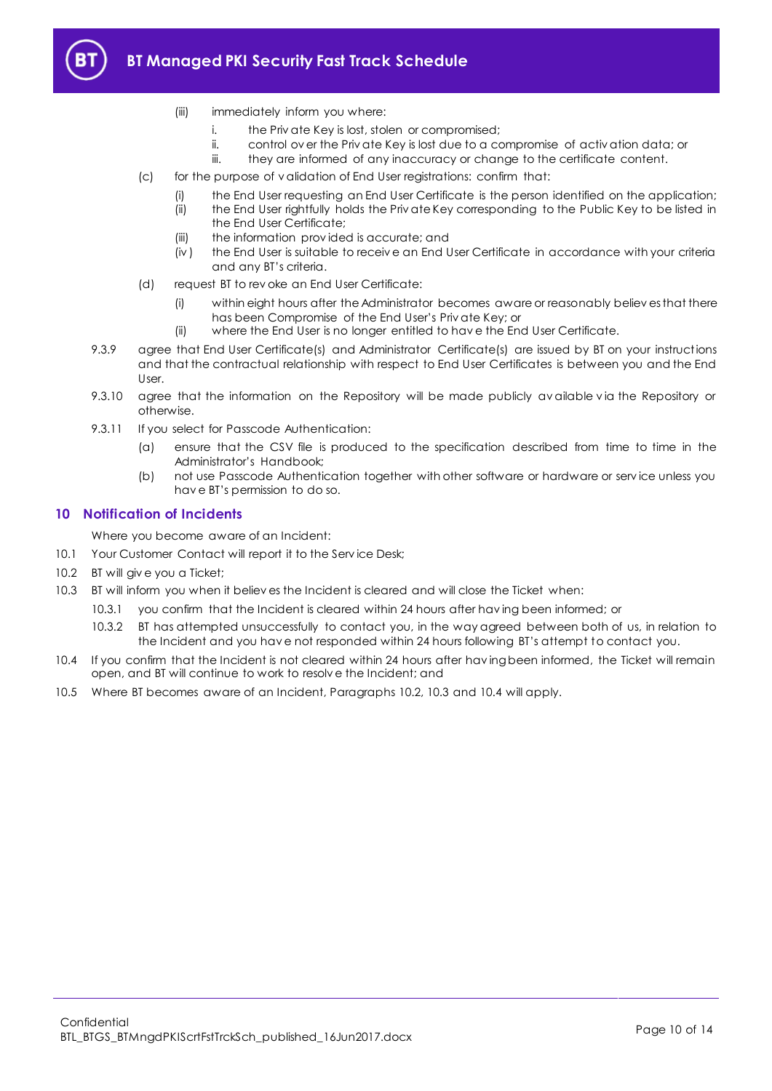

- (iii) immediately inform you where:
	- i. the Priv ate Key is lost, stolen or compromised;
	- ii. control ov er the Priv ate Key is lost due to a compromise of activ ation data; or
- iii. they are informed of any inaccuracy or change to the certificate content.
- (c) for the purpose of v alidation of End User registrations: confirm that:
	- the End User requesting an End User Certificate is the person identified on the application;
	- (ii) the End User rightfully holds the Priv ate Key corresponding to the Public Key to be listed in the End User Certificate;
	- (iii) the information prov ided is accurate; and
	- (iv ) the End User is suitable to receiv e an End User Certificate in accordance with your criteria and any BT's criteria.
- (d) request BT to rev oke an End User Certificate:
	- (i) within eight hours after the Administrator becomes aware or reasonably believ es that there has been Compromise of the End User's Priv ate Key; or
	- (ii) where the End User is no longer entitled to hav e the End User Certificate.
- 9.3.9 agree that End User Certificate(s) and Administrator Certificate(s) are issued by BT on your instructions and that the contractual relationship with respect to End User Certificates is between you and the End User.
- 9.3.10 agree that the information on the Repository will be made publicly available via the Repository or otherwise.
- 9.3.11 If you select for Passcode Authentication:
	- (a) ensure that the CSV file is produced to the specification described from time to time in the Administrator's Handbook;
	- (b) not use Passcode Authentication together with other software or hardware or serv ice unless you hav e BT's permission to do so.

#### <span id="page-9-0"></span>**10 Notification of Incidents**

Where you become aware of an Incident:

- 10.1 Your Customer Contact will report it to the Serv ice Desk;
- <span id="page-9-1"></span>10.2 BT will giv e you a Ticket;
- <span id="page-9-2"></span>10.3 BT will inform you when it believ es the Incident is cleared and will close the Ticket when:
	- 10.3.1 you confirm that the Incident is cleared within 24 hours after hav ing been informed; or
		- 10.3.2 BT has attempted unsuccessfully to contact you, in the way agreed between both of us, in relation to the Incident and you hav e not responded within 24 hours following BT's attempt to contact you.
- <span id="page-9-3"></span>10.4 If you confirm that the Incident is not cleared within 24 hours after hav ing been informed, the Ticket will remain open, and BT will continue to work to resolv e the Incident; and
- 10.5 Where BT becomes aware of an Incident, Paragraphs [10.2,](#page-9-1) [10.3](#page-9-2) and [10.4](#page-9-3) will apply.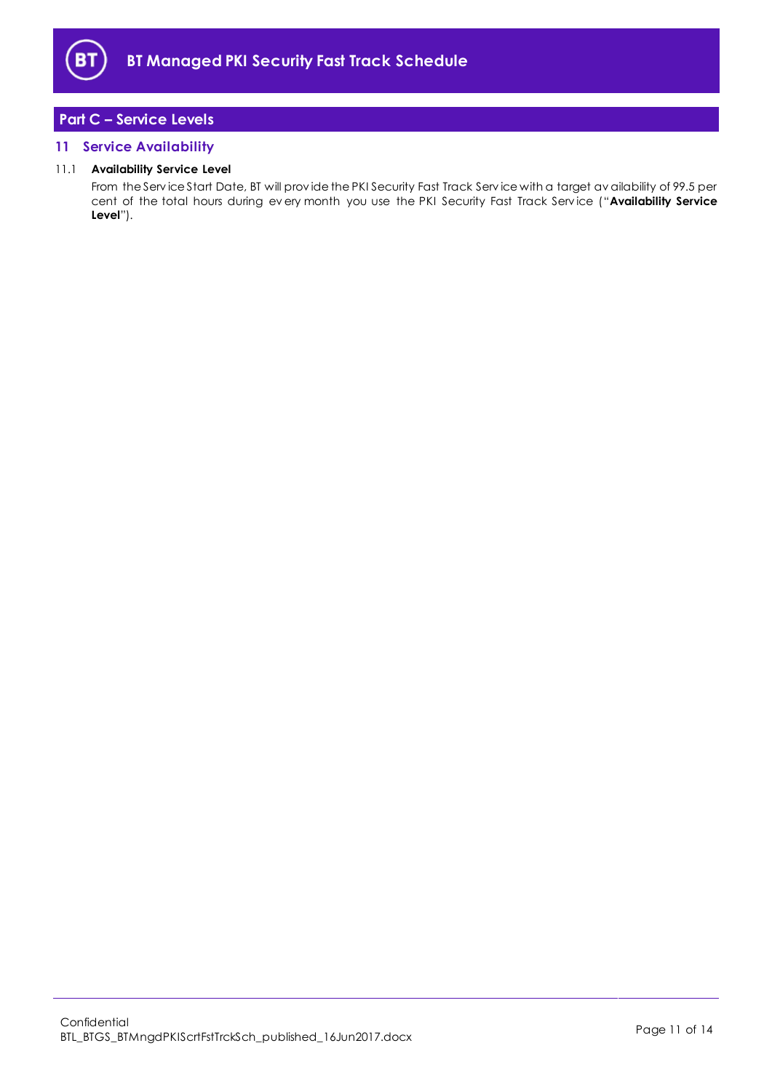

# <span id="page-10-0"></span>**Part C – Service Levels**

# <span id="page-10-1"></span>**11 Service Availability**

#### 11.1 **Availability Service Level**

From the Serv ice Start Date, BT will prov ide the PKI Security Fast Track Serv ice with a target av ailability of 99.5 per cent of the total hours during ev ery month you use the PKI Security Fast Track Serv ice ("**Availability Service Level**").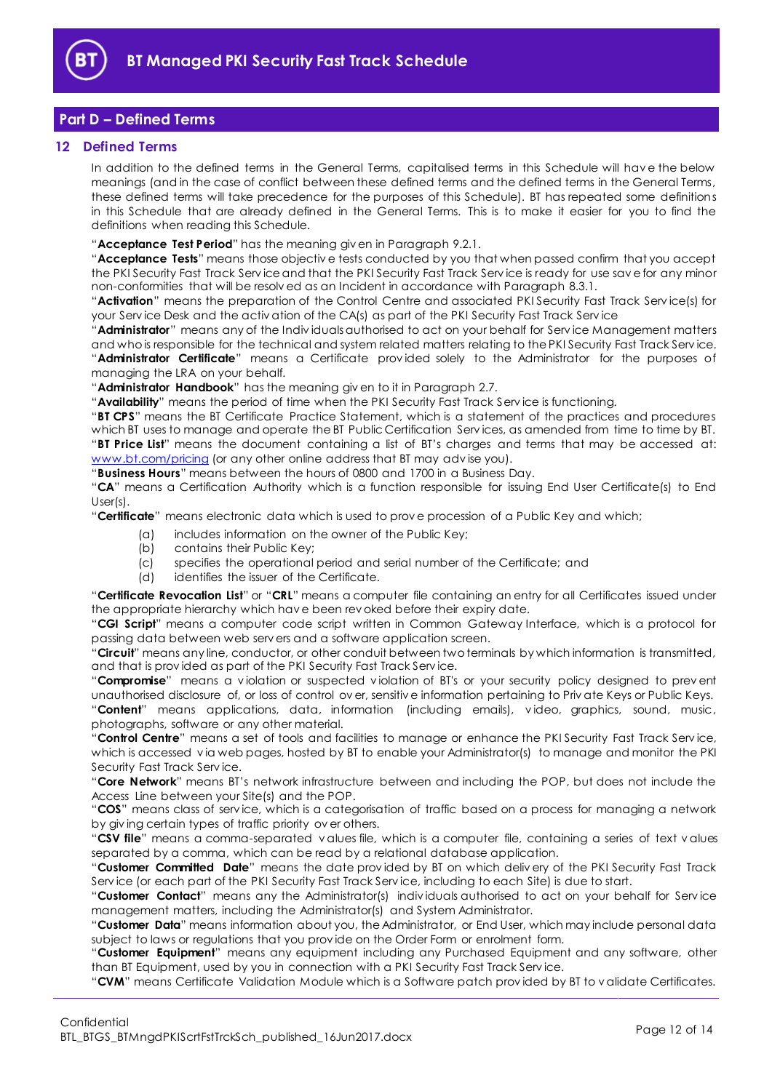

# <span id="page-11-0"></span>**Part D – Defined Terms**

#### <span id="page-11-1"></span>**12 Defined Terms**

In addition to the defined terms in the General Terms, capitalised terms in this Schedule will hav e the below meanings (and in the case of conflict between these defined terms and the defined terms in the General Terms, these defined terms will take precedence for the purposes of this Schedule). BT has repeated some definitions in this Schedule that are already defined in the General Terms. This is to make it easier for you to find the definitions when reading this Schedule.

"**Acceptance Test Period**" has the meaning giv en in Paragrap[h 9.2.1.](#page-7-6)

"**Acceptance Tests**" means those objectiv e tests conducted by you that when passed confirm that you accept the PKI Security Fast Track Serv ice and that the PKI Security Fast Track Serv ice is ready for use sav e for any minor non-conformities that will be resolv ed as an Incident in accordance with Paragraph [8.3.1.](#page-7-7)

"**Activation**" means the preparation of the Control Centre and associated PKI Security Fast Track Serv ice(s) for your Serv ice Desk and the activ ation of the CA(s) as part of the PKI Security Fast Track Serv ice

"**Administrator**" means any of the Indiv iduals authorised to act on your behalf for Serv ice Management matters and who is responsible for the technical and system related matters relating to the PKI Security Fast Track Serv ice. "**Administrator Certificate**" means a Certificate prov ided solely to the Administrator for the purposes of managing the LRA on your behalf.

"**Administrator Handbook**" has the meaning giv en to it in Paragraph [2.7.](#page-1-5)

"**Availability**" means the period of time when the PKI Security Fast Track Serv ice is functioning.

"**BT CPS**" means the BT Certificate Practice Statement, which is a statement of the practices and procedures which BT uses to manage and operate the BT Public Certification Serv ices, as amended from time to time by BT. "**BT Price List**" means the document containing a list of BT's charges and terms that may be accessed at: [www.bt.com/pricing](http://www.bt.com/pricing) (or any other online address that BT may advise you).

"**Business Hours**" means between the hours of 0800 and 1700 in a Business Day.

"**CA**" means a Certification Authority which is a function responsible for issuing End User Certificate(s) to End User(s).

"**Certificate**" means electronic data which is used to prov e procession of a Public Key and which;

- (a) includes information on the owner of the Public Key;
- (b) contains their Public Key;
- (c) specifies the operational period and serial number of the Certificate; and
- (d) identifies the issuer of the Certificate.

"**Certificate Revocation List**" or "**CRL**" means a computer file containing an entry for all Certificates issued under the appropriate hierarchy which hav e been rev oked before their expiry date.

"**CGI Script**" means a computer code script written in Common Gateway Interface, which is a protocol for passing data between web serv ers and a software application screen.

"**Circuit**" means any line, conductor, or other conduit between two terminals by which information is transmitted, and that is prov ided as part of the PKI Security Fast Track Serv ice.

"**Compromise**" means a v iolation or suspected v iolation of BT's or your security policy designed to prev ent unauthorised disclosure of, or loss of control ov er, sensitiv e information pertaining to Priv ate Keys or Public Keys. "**Content**" means applications, data, information (including emails), v ideo, graphics, sound, music, photographs, software or any other material.

"**Control Centre**" means a set of tools and facilities to manage or enhance the PKI Security Fast Track Serv ice, which is accessed via web pages, hosted by BT to enable your Administrator(s) to manage and monitor the PKI Security Fast Track Serv ice.

"**Core Network**" means BT's network infrastructure between and including the POP, but does not include the Access Line between your Site(s) and the POP.

"**COS**" means class of serv ice, which is a categorisation of traffic based on a process for managing a network by giv ing certain types of traffic priority ov er others.

"**CSV file**" means a comma-separated v alues file, which is a computer file, containing a series of text v alues separated by a comma, which can be read by a relational database application.

"**Customer Committed Date**" means the date prov ided by BT on which deliv ery of the PKI Security Fast Track Serv ice (or each part of the PKI Security Fast Track Serv ice, including to each Site) is due to start.

"**Customer Contact**" means any the Administrator(s) indiv iduals authorised to act on your behalf for Serv ice management matters, including the Administrator(s) and System Administrator.

"**Customer Data**" means information about you, the Administrator, or End User, which may include personal data subject to laws or regulations that you prov ide on the Order Form or enrolment form.

"**Customer Equipment**" means any equipment including any Purchased Equipment and any software, other than BT Equipment, used by you in connection with a PKI Security Fast Track Serv ice.

"**CVM**" means Certificate Validation Module which is a Software patch prov ided by BT to v alidate Certificates.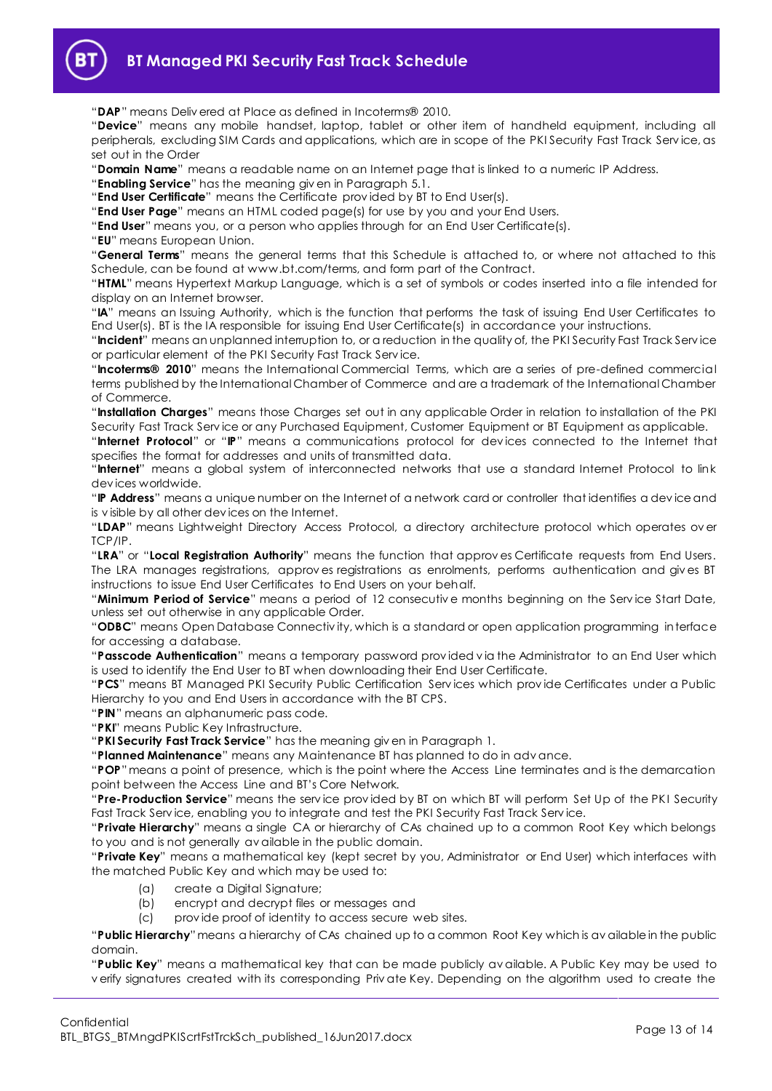

"**DAP**" means Deliv ered at Place as defined in Incoterms® 2010.

"**Device**" means any mobile handset, laptop, tablet or other item of handheld equipment, including all peripherals, excluding SIM Cards and applications, which are in scope of the PKI Security Fast Track Serv ice, as set out in the Order

"**Domain Name**" means a readable name on an Internet page that is linked to a numeric IP Address.

"**Enabling Service**" has the meaning giv en in Paragrap[h 5.1.](#page-2-6)

"**End User Certificate**" means the Certificate prov ided by BT to End User(s).

"**End User Page**" means an HTML coded page(s) for use by you and your End Users.

"**End User**" means you, or a person who applies through for an End User Certificate(s).

"**EU**" means European Union.

"**General Terms**" means the general terms that this Schedule is attached to, or where not attached to this Schedule, can be found at www.bt.com/terms, and form part of the Contract.

"**HTML**" means Hypertext Markup Language, which is a set of symbols or codes inserted into a file intended for display on an Internet browser.

"**IA**" means an Issuing Authority, which is the function that performs the task of issuing End User Certificates to End User(s). BT is the IA responsible for issuing End User Certificate(s) in accordance your instructions.

"**Incident**" means an unplanned interruption to, or a reduction in the quality of, the PKI Security Fast Track Serv ice or particular element of the PKI Security Fast Track Serv ice.

"**Incoterms® 2010**" means the International Commercial Terms, which are a series of pre-defined commercial terms published by the International Chamber of Commerce and are a trademark of the International Chamber of Commerce.

"**Installation Charges**" means those Charges set out in any applicable Order in relation to installation of the PKI Security Fast Track Serv ice or any Purchased Equipment, Customer Equipment or BT Equipment as applicable.

"**Internet Protocol**" or "**IP**" means a communications protocol for dev ices connected to the Internet that specifies the format for addresses and units of transmitted data.

"**Internet**" means a global system of interconnected networks that use a standard Internet Protocol to link dev ices worldwide.

"**IP Address**" means a unique number on the Internet of a network card or controller that identifies a dev ice and is v isible by all other dev ices on the Internet.

"**LDAP**" means Lightweight Directory Access Protocol, a directory architecture protocol which operates ov er TCP/IP.

"**LRA**" or "**Local Registration Authority**" means the function that approv es Certificate requests from End Users. The LRA manages registrations, approv es registrations as enrolments, performs authentication and giv es BT instructions to issue End User Certificates to End Users on your behalf.

"**Minimum Period of Service**" means a period of 12 consecutiv e months beginning on the Serv ice Start Date, unless set out otherwise in any applicable Order.

"**ODBC**" means Open Database Connectiv ity, which is a standard or open application programming interface for accessing a database.

"**Passcode Authentication**" means a temporary password prov ided v ia the Administrator to an End User which is used to identify the End User to BT when downloading their End User Certificate.

"**PCS**" means BT Managed PKI Security Public Certification Serv ices which prov ide Certificates under a Public Hierarchy to you and End Users in accordance with the BT CPS.

"**PIN**" means an alphanumeric pass code.

"**PKI**" means Public Key Infrastructure.

"**PKI Security Fast Track Service**" has the meaning giv en in Paragraph [1.](#page-1-3)

"**Planned Maintenance**" means any Maintenance BT has planned to do in adv ance.

"**POP**"means a point of presence, which is the point where the Access Line terminates and is the demarcation point between the Access Line and BT's Core Network.

"**Pre-Production Service**" means the serv ice prov ided by BT on which BT will perform Set Up of the PKI Security Fast Track Serv ice, enabling you to integrate and test the PKI Security Fast Track Serv ice.

"**Private Hierarchy**" means a single CA or hierarchy of CAs chained up to a common Root Key which belongs to you and is not generally av ailable in the public domain.

"**Private Key**" means a mathematical key (kept secret by you, Administrator or End User) which interfaces with the matched Public Key and which may be used to:

- (a) create a Digital Signature;
- (b) encrypt and decrypt files or messages and
- (c) prov ide proof of identity to access secure web sites.

"**Public Hierarchy**"means a hierarchy of CAs chained up to a common Root Key which is av ailable in the public domain.

"**Public Key**" means a mathematical key that can be made publicly av ailable. A Public Key may be used to v erify signatures created with its corresponding Priv ate Key. Depending on the algorithm used to create the